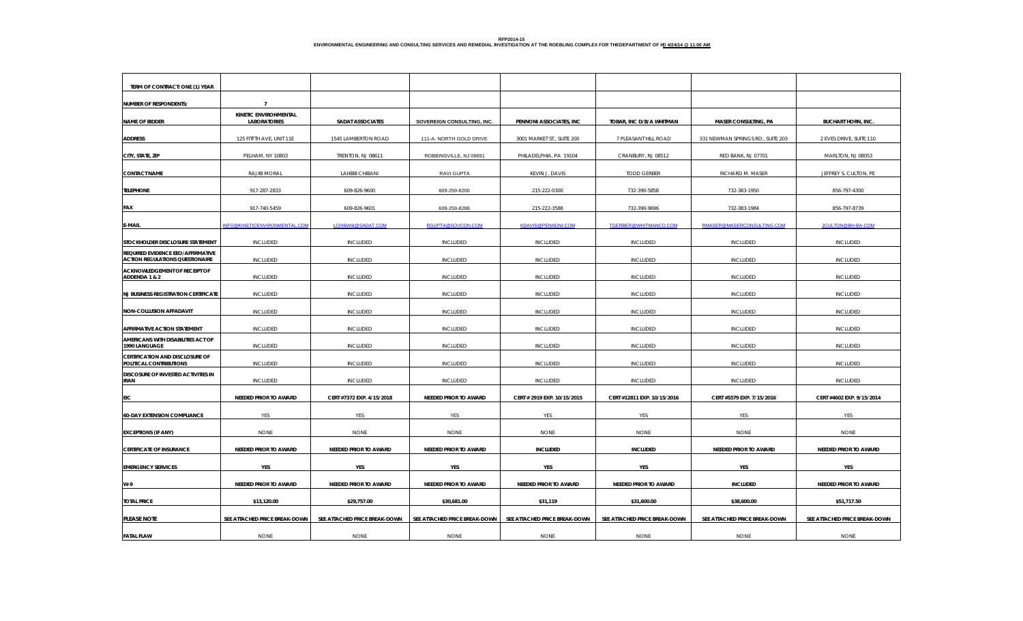| TERM OF CONTRACT: ONE (1) YEAR                                                     |                                              |                               |                               |                               |                               |                                   |                               |
|------------------------------------------------------------------------------------|----------------------------------------------|-------------------------------|-------------------------------|-------------------------------|-------------------------------|-----------------------------------|-------------------------------|
| <b>NUMBER OF RESPONDENTS:</b>                                                      | $\overline{7}$                               |                               |                               |                               |                               |                                   |                               |
| <b>NAME OF BIDDER</b>                                                              | KINETIC ENVIRONMENTAL<br><b>LABORATORIES</b> | <b>SADAT ASSOCIATES</b>       | SOVEREIGN CONSULTING, INC.    | PENNONI ASSOCIATES, INC       | TOBAR, INC D/B/A WHITMAN      | <b>MASER CONSULTING, PA</b>       | <b>BUCHART HORN, INC.</b>     |
| <b>ADDRESS</b>                                                                     | 125 FITFTH AVE, UNIT 11E                     | 1545 LAMBERTON ROAD           | 111-A- NORTH GOLD DRIVE       | 3001 MARKET ST., SUITE 200    | 7 PLEASANT HILL ROAD          | 331 NEWMAN SPRINGS RD., SUITE 203 | 2 EVES DRIVE, SUITE 110       |
| CITY, STATE, ZIP                                                                   | PELHAM, NY 10803                             | TRENTON, NJ 08611             | ROBBINSVILLE, NJ 08691        | PHILADELPHIA, PA 19104        | CRANBURY, NJ 08512            | RED BANK, NJ 07701                | MARLTON, NJ 08053             |
| <b>CONTACT NAME</b>                                                                | RAJIIB MORAL                                 | LAHBIB CHIBANI                | RAVI GUPTA                    | KEVIN J. DAVIS                | <b>TODD GERBER</b>            | RICHARD M. MASER                  | JEFFREY S. CULTON, PE         |
| <b>TELEPHONE</b>                                                                   | 917-287-2833                                 | 609-826-9600                  | 609-259-8200                  | 215-222-0300                  | 732-390-5858                  | 732-383-1950                      | 856-797-4300                  |
| FAX                                                                                | 917-740-5459                                 | 609-826-9601                  | 609-259-8288                  | 215-222-3588                  | 732-390-9696                  | 732-383-1984                      | 856-797-8739                  |
| <b>E-MAIL</b>                                                                      | INFO@KINETICENVIRONMENTAL.COM                | LCHIBANI@SADAT.COM            | RGUPTA@SOVCON.COM             | <b>KDAVIS@PENNONI.COM</b>     | TGERBER@WHITMANCO.COM         | RMASER@MASERCONSULTING.COM        | JCULTON@BH-BA-COM             |
| STOCKHOLDER DISCLOSURE STATEMENT                                                   | <b>INCLUDED</b>                              | <b>INCLUDED</b>               | <b>INCLUDED</b>               | <b>INCLUDED</b>               | <b>INCLUDED</b>               | <b>INCLUDED</b>                   | <b>INCLUDED</b>               |
| <b>REQUIRED EVIDENCE EEO/AFFIRMATIVE</b><br><b>ACTION REGULATIONS QUESTIONAIRE</b> | <b>INCLUDED</b>                              | <b>INCLUDED</b>               | <b>INCLUDED</b>               | <b>INCLUDED</b>               | <b>INCLUDED</b>               | <b>INCLUDED</b>                   | INCLUDED                      |
| ACKNOWLEDGEMENT OF RECEIPT OF<br>ADDENDA 1 & 2                                     | <b>INCLUDED</b>                              | <b>INCLUDED</b>               | <b>INCLUDED</b>               | <b>INCLUDED</b>               | <b>INCLUDED</b>               | <b>INCLUDED</b>                   | <b>INCLUDED</b>               |
| <b>NJ BUSINESS REGISTRATION CERTIFICATE</b>                                        | <b>INCLUDED</b>                              | <b>INCLUDED</b>               | <b>INCLUDED</b>               | <b>INCLUDED</b>               | <b>INCLUDED</b>               | <b>INCLUDED</b>                   | <b>INCLUDED</b>               |
| <b>NON-COLLUSION AFFADAVIT</b>                                                     | <b>INCLUDED</b>                              | <b>INCLUDED</b>               | <b>INCLUDED</b>               | <b>INCLUDED</b>               | <b>INCLUDED</b>               | <b>INCLUDED</b>                   | <b>INCLUDED</b>               |
| AFFIRMATIVE ACTION STATEMENT                                                       | <b>INCLUDED</b>                              | <b>INCLUDED</b>               | <b>INCLUDED</b>               | <b>INCLUDED</b>               | <b>INCLUDED</b>               | <b>INCLUDED</b>                   | <b>INCLUDED</b>               |
| AMERICANS WITH DISABILITIES ACT OF<br>1990 LANGUAGE                                | <b>INCLUDED</b>                              | <b>INCLUDED</b>               | <b>INCLUDED</b>               | <b>INCLUDED</b>               | <b>INCLUDED</b>               | <b>INCLUDED</b>                   | <b>INCLUDED</b>               |
| <b>CERTIFICATION AND DISCLOSURE OF</b><br>POLITICAL CONTRIBUTIONS                  | <b>INCLUDED</b>                              | <b>INCLUDED</b>               | <b>INCLUDED</b>               | <b>INCLUDED</b>               | <b>INCLUDED</b>               | <b>INCLUDED</b>                   | <b>INCLUDED</b>               |
| DISCOSURE OF INVESTED ACTIVITIES IN<br><b>IRAN</b>                                 | <b>INCLUDED</b>                              | <b>INCLUDED</b>               | <b>INCLUDED</b>               | <b>INCLUDED</b>               | <b>INCLUDED</b>               | <b>INCLUDED</b>                   | <b>INCLUDED</b>               |
| EIC                                                                                | NEEDED PRIOR TO AWARD                        | CERT #7372 EXP. 4/15/2018     | NEEDED PRIOR TO AWARD         | CERT # 2919 EXP. 10/15/2015   | CERT #12811 EXP. 10/15/2016   | CERT #5579 EXP. 7/15/2016         | CERT #4602 EXP. 9/15/2014     |
| <b>60-DAY EXTENSION COMPLIANCE</b>                                                 | YES                                          | YES                           | YES                           | YES                           | YES                           | YES                               | YES                           |
| <b>EXCEPTIONS (IF ANY)</b>                                                         | <b>NONE</b>                                  | <b>NONE</b>                   | <b>NONE</b>                   | <b>NONE</b>                   | <b>NONE</b>                   | <b>NONE</b>                       | <b>NONE</b>                   |
| <b>CERTIFICATE OF INSURANCE</b>                                                    | NEEDED PRIOR TO AWARD                        | NEEDED PRIOR TO AWARD         | NEEDED PRIOR TO AWARD         | <b>INCLUDED</b>               | <b>INCLUDED</b>               | NEEDED PRIOR TO AWARD             | <b>NEEDED PRIOR TO AWARD</b>  |
| <b>EMERGENCY SERVICES</b>                                                          | YES                                          | YES                           | YES                           | YES                           | YES                           | YES                               | YES                           |
| W-9                                                                                | NEEDED PRIOR TO AWARD                        | NEEDED PRIOR TO AWARD         | <b>NEEDED PRIOR TO AWARD</b>  | NEEDED PRIOR TO AWARD         | NEEDED PRIOR TO AWARD         | <b>INCLUDED</b>                   | NEEDED PRIOR TO AWARD         |
| <b>TOTAL PRICE</b>                                                                 | \$13,120.00                                  | \$29,757.00                   | \$30,681.00                   | \$31,119                      | \$31,600.00                   | \$38,600.00                       | \$51,717.50                   |
| PLEASE NOTE                                                                        | SEE ATTACHED PRICE BREAK-DOWN                | SEE ATTACHED PRICE BREAK-DOWN | SEE ATTACHED PRICE BREAK-DOWN | SEE ATTACHED PRICE BREAK-DOWN | SEE ATTACHED PRICE BREAK-DOWN | SEE ATTACHED PRICE BREAK-DOWN     | SEE ATTACHED PRICE BREAK-DOWN |
| <b>FATAL FLAW</b>                                                                  | <b>NONE</b>                                  | <b>NONE</b>                   | <b>NONE</b>                   | <b>NONE</b>                   | <b>NONE</b>                   | <b>NONE</b>                       | <b>NONE</b>                   |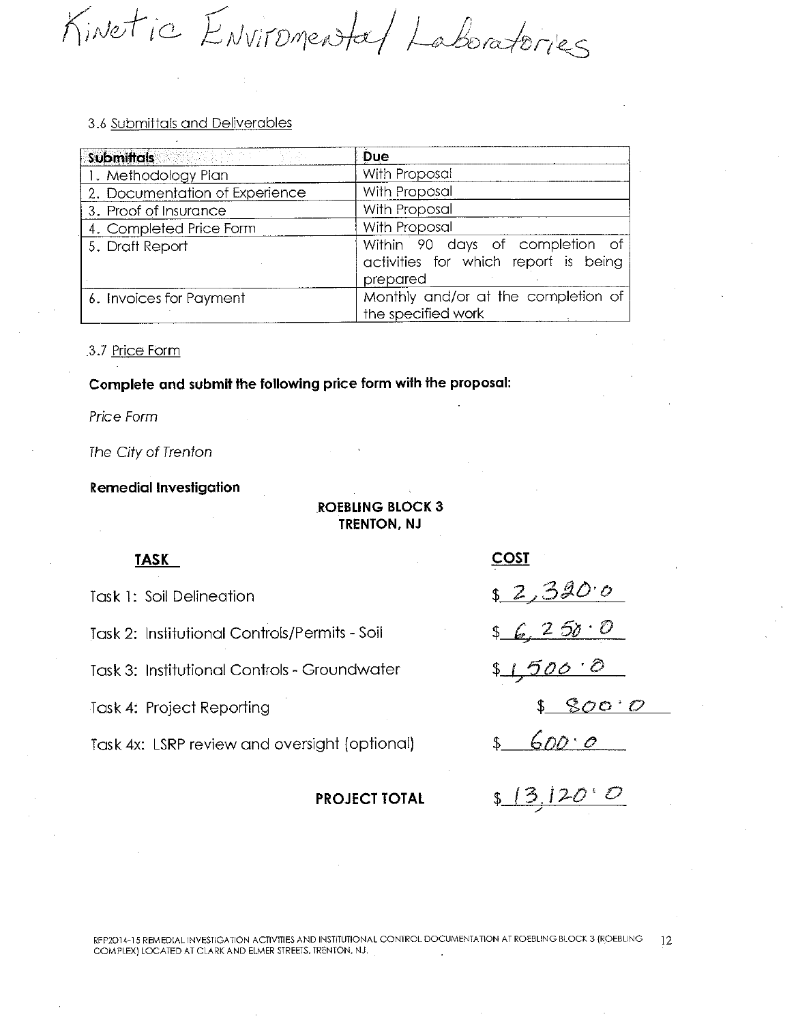Kinetic Environental Laboratories

| <b>Submittals Submittal State of Submittal State Association</b> | <b>Due</b>                                                                          |
|------------------------------------------------------------------|-------------------------------------------------------------------------------------|
| 1. Methodology Plan                                              | With Proposal                                                                       |
| 2. Documentation of Experience                                   | With Proposal                                                                       |
| 3. Proof of Insurance                                            | With Proposal                                                                       |
| 4. Completed Price Form                                          | With Proposal                                                                       |
| 5. Draft Report                                                  | Within 90 days of completion of<br>activities for which report is being<br>prepared |
| 6. Invoices for Payment                                          | Monthly and/or at the completion of<br>the specified work                           |

3.7 Price Form

Complete and submit the following price form with the proposal:

Price Form

The City of Trenton

**Remedial Investigation** 

# **ROEBLING BLOCK 3 TRENTON, NJ**

#### **TASK**

Task 1: Soil Delineation

Task 2: Institutional Controls/Permits - Soil

Task 3: Institutional Controls - Groundwater

Task 4: Project Reporting

Task 4x: LSRP review and oversight (optional)

#### **PROJECT TOTAL**

| <u>COST</u>      |
|------------------|
| <u>s 2,320 o</u> |
| \$6, 250.0       |
| \$1,500.0        |
| \$ 800.0         |
| \$600.0          |
| (3120)           |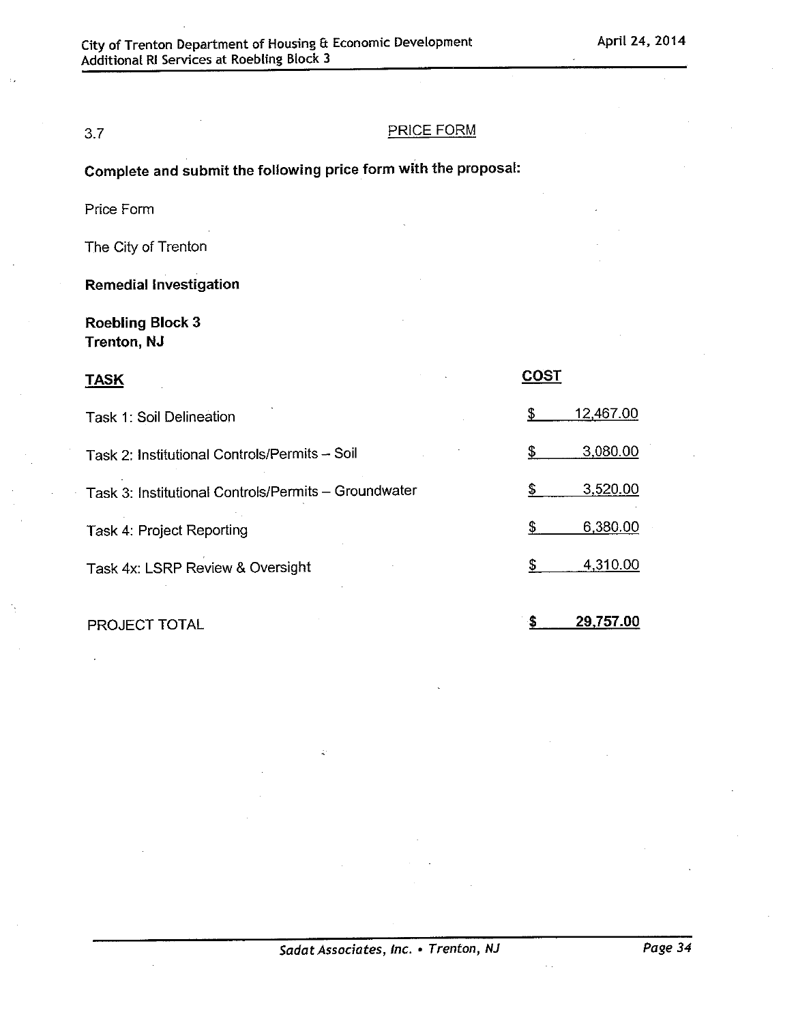# $3.7$

#### **PRICE FORM**

Complete and submit the following price form with the proposal:

Price Form

The City of Trenton

**Remedial Investigation** 

**Roebling Block 3 Trenton, NJ** 

| <b>TASK</b>                                          |           |
|------------------------------------------------------|-----------|
| Task 1: Soil Delineation                             | 12,467.00 |
| Task 2: Institutional Controls/Permits - Soil        | 3,080.00  |
| Task 3: Institutional Controls/Permits - Groundwater | 3,520.00  |
| Task 4: Project Reporting                            | 6,380.00  |
| Task 4x: LSRP Review & Oversight                     | 4,310.00  |
|                                                      |           |

PROJECT TOTAL

29,757.00 \$.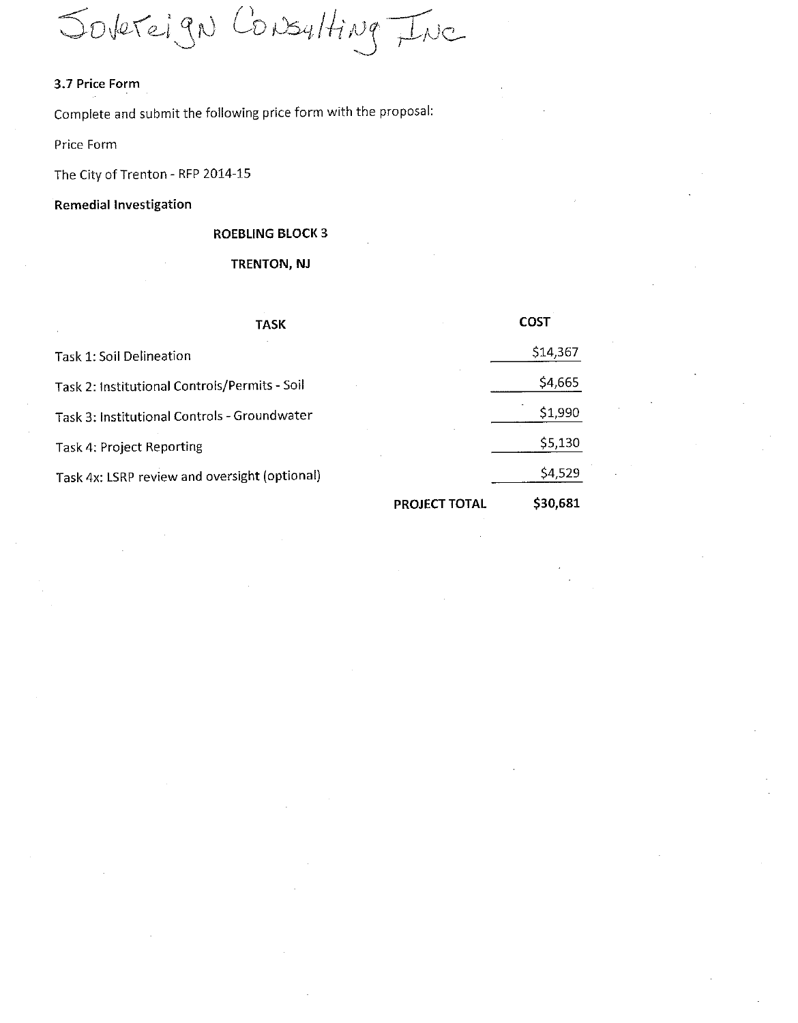Jobreign Consulting Inc

# 3.7 Price Form

Complete and submit the following price form with the proposal:

Price Form

The City of Trenton - RFP 2014-15

#### Remedial Investigation

## **ROEBLING BLOCK 3**

#### TRENTON, NJ

| <b>TASK</b>                                   | COST     |
|-----------------------------------------------|----------|
| Task 1: Soil Delineation                      | \$14,367 |
| Task 2: Institutional Controls/Permits - Soil | \$4,665  |
| Task 3: Institutional Controls - Groundwater  | \$1,990  |
| Task 4: Project Reporting                     | \$5,130  |
| Task 4x: LSRP review and oversight (optional) | \$4,529  |
| <b>PROJECT TOTAL</b>                          | \$30,681 |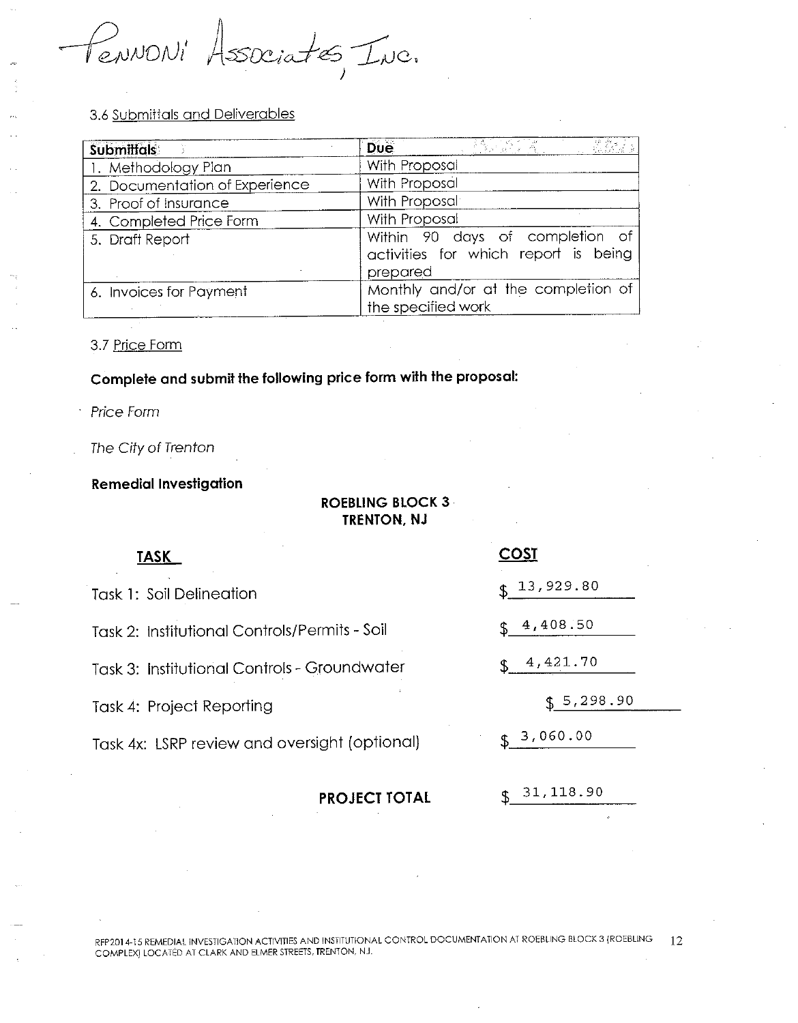PENNONI Associates, Inc.

| <b>Submittals</b>              | 35. 1997年<br><b>Due</b>                                                             |
|--------------------------------|-------------------------------------------------------------------------------------|
| 1. Methodology Plan            | With Proposal                                                                       |
| 2. Documentation of Experience | With Proposal                                                                       |
| 3. Proof of Insurance          | With Proposal                                                                       |
| 4. Completed Price Form        | With Proposal                                                                       |
| 5. Draft Report                | Within 90 days of completion of<br>activities for which report is being<br>prepared |
| 6. Invoices for Payment        | Monthly and/or at the completion of<br>the specified work                           |

#### 3.7 Price Form

# Complete and submit the following price form with the proposal:

Price Form

#### The City of Trenton

## **Remedial Investigation**

| IKENIUN, NJ                                   |             |  |  |  |
|-----------------------------------------------|-------------|--|--|--|
| TASK                                          | <b>COST</b> |  |  |  |
| <b>Task 1: Soil Delineation</b>               | \$13,929.80 |  |  |  |
| Task 2: Institutional Controls/Permits - Soil | \$4,408.50  |  |  |  |
| Task 3: Institutional Controls - Groundwater  | \$4,421.70  |  |  |  |
| Task 4: Project Reporting                     | \$5,298.90  |  |  |  |
| Task 4x: LSRP review and oversight (optional) | \$3,060.00  |  |  |  |
| <b>PROJECT TOTAL</b>                          | 31,118.90   |  |  |  |

**ROEBLING BLOCK 3**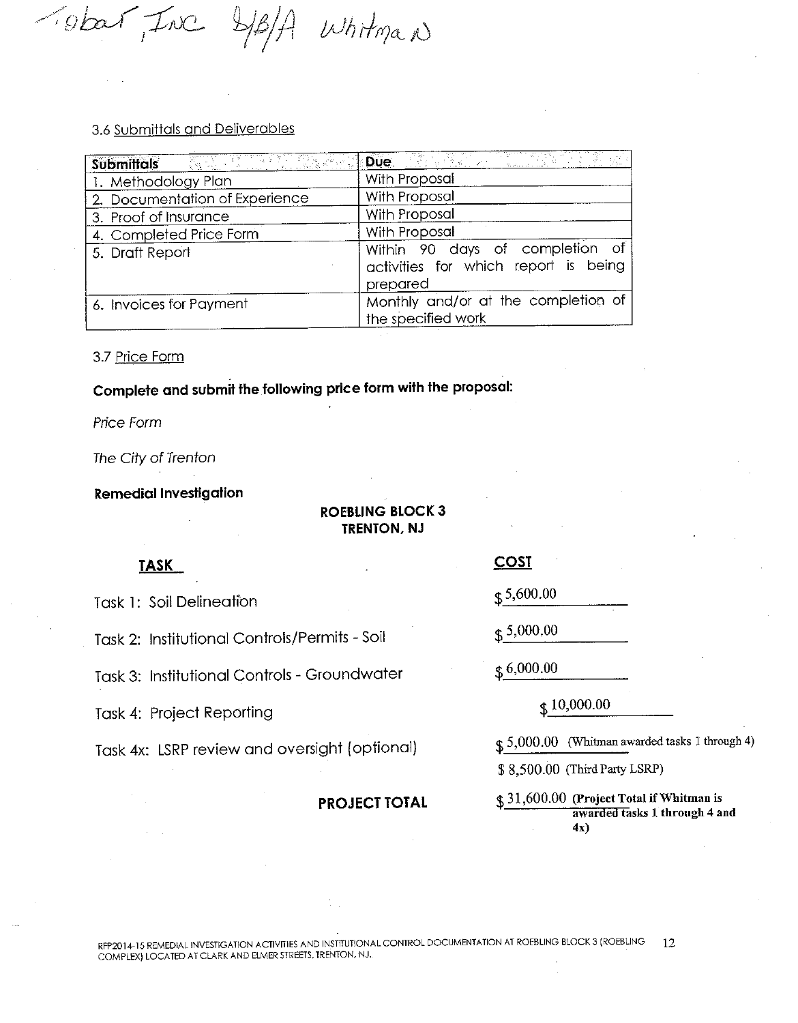Tobar Inc 4B/A Whitman

| <b>Submittals</b>              | <b>Due</b>                                                                          |
|--------------------------------|-------------------------------------------------------------------------------------|
| 1. Methodology Plan            | With Proposal                                                                       |
| 2. Documentation of Experience | With Proposal                                                                       |
| 3. Proof of Insurance          | With Proposal                                                                       |
| 4. Completed Price Form        | With Proposal                                                                       |
| 5. Draft Report                | Within 90 days of completion of<br>activities for which report is being<br>prepared |
| 6. Invoices for Payment        | Monthly and/or at the completion of<br>the specified work                           |

3.7 Price Form

Complete and submit the following price form with the proposal:

Price Form

The City of Trenton

**Remedial Investigation** 

# **ROEBLING BLOCK 3 TRENTON, NJ**

# **TASK**

**Task 1: Soil Delineation** 

Task 2: Institutional Controls/Permits - Soil

Task 3: Institutional Controls - Groundwater

Task 4: Project Reporting

Task 4x: LSRP review and oversight (optional)

#### **PROJECT TOTAL**

**COST** 

 $\uparrow$  5,600.00

 $$5,000,00$ 

 $$6,000.00$ 

 $$10,000.00$ 

 $$5,000.00$  (Whitman awarded tasks 1 through 4)

\$8,500.00 (Third Party LSRP)

\$31,600.00 (Project Total if Whitman is awarded tasks 1 through 4 and  $4x)$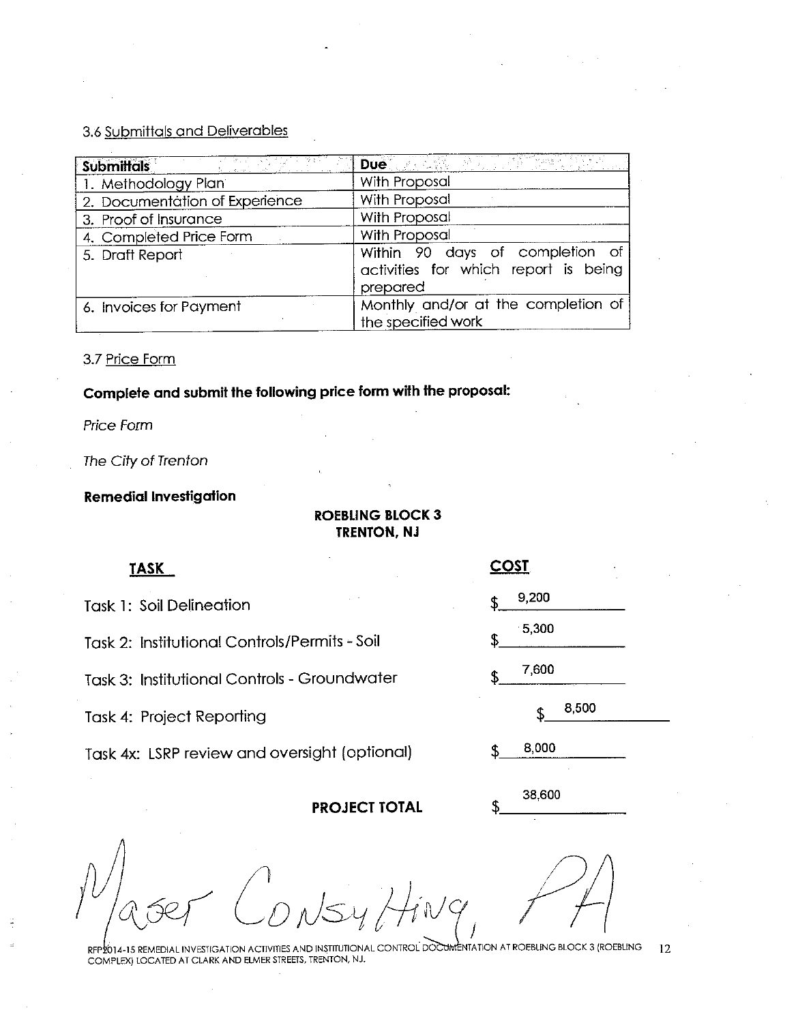| -99 - 21<br>Submittals         | Due with a little for the state                                                     |
|--------------------------------|-------------------------------------------------------------------------------------|
| 1. Methodology Plan            | With Proposal                                                                       |
| 2. Documentation of Experience | With Proposal                                                                       |
| 3. Proof of Insurance          | With Proposal                                                                       |
| 4. Completed Price Form        | With Proposal                                                                       |
| 5. Draft Report                | Within 90 days of completion of<br>activities for which report is being<br>prepared |
| 6. Invoices for Payment        | Monthly and/or at the completion of<br>the specified work                           |

3.7 Price Form

Complete and submit the following price form with the proposal:

Price Form

The City of Trenton

# **Remedial Investigation**

## **ROEBLING BLOCK 3 TRENTON, NJ**

#### **TASK**

**Task 1: Soil Delineation** 

Task 2: Institutional Controls/Permits - Soil

Task 3: Institutional Controls - Groundwater

Task 4: Project Reporting

Task 4x: LSRP review and oversight (optional)

**PROJECT TOTAL** 

|     | <u>COST</u> |       |  |
|-----|-------------|-------|--|
| \$. | 9,200       |       |  |
| \$  | $-5,300$    |       |  |
| \$. | 7,600       |       |  |
|     | \$          | 8,500 |  |
| \$  | 8,000       |       |  |

38,600

RFP2014-15 REMEDIAL INVESTIGATION ACTIVITIES AND INSTITUTIONAL CONTROL DOCUMENTATION AT ROEBLING BLOCK 3 (ROEBLING 12 COMPLEX) LOCATED AT CLARK AND ELMER STREETS, TRENTON, NJ.